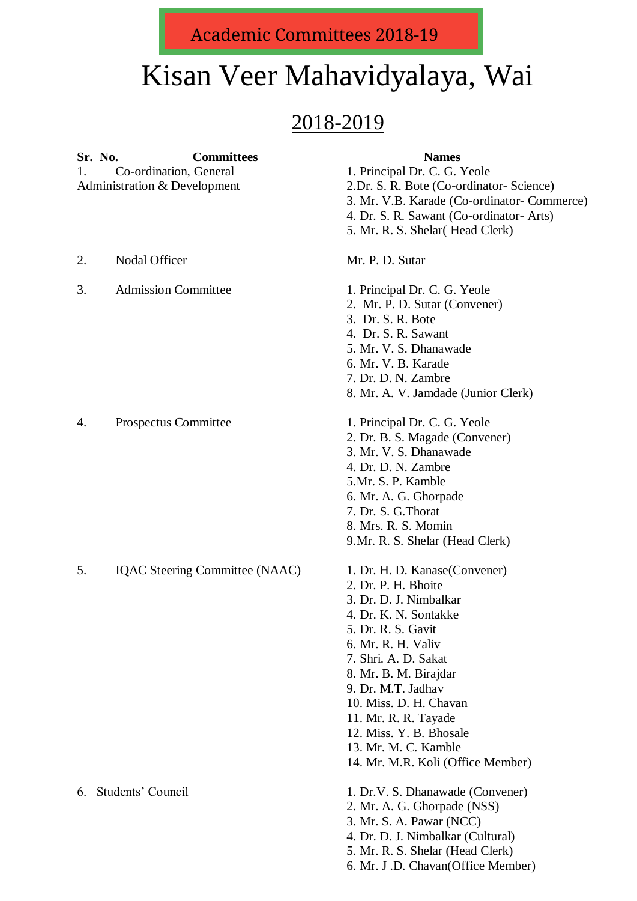<u>Jana Sommunovo 2010 i</u> Academic Committees 2018-19

## Kisan Veer Mahavidyalaya, Wai

## 2018-2019

| 1. | Sr. No.<br><b>Committees</b><br>Co-ordination, General | <b>Names</b><br>1. Principal Dr. C. G. Yeole                                                                                                                                                                                                                                                                                                                          |
|----|--------------------------------------------------------|-----------------------------------------------------------------------------------------------------------------------------------------------------------------------------------------------------------------------------------------------------------------------------------------------------------------------------------------------------------------------|
|    | Administration & Development                           | 2.Dr. S. R. Bote (Co-ordinator-Science)<br>3. Mr. V.B. Karade (Co-ordinator- Commerce)<br>4. Dr. S. R. Sawant (Co-ordinator- Arts)<br>5. Mr. R. S. Shelar (Head Clerk)                                                                                                                                                                                                |
| 2. | <b>Nodal Officer</b>                                   | Mr. P. D. Sutar                                                                                                                                                                                                                                                                                                                                                       |
| 3. | <b>Admission Committee</b>                             | 1. Principal Dr. C. G. Yeole<br>2. Mr. P. D. Sutar (Convener)<br>3. Dr. S. R. Bote<br>4. Dr. S. R. Sawant<br>5. Mr. V. S. Dhanawade<br>6. Mr. V. B. Karade<br>7. Dr. D. N. Zambre<br>8. Mr. A. V. Jamdade (Junior Clerk)                                                                                                                                              |
| 4. | Prospectus Committee                                   | 1. Principal Dr. C. G. Yeole<br>2. Dr. B. S. Magade (Convener)<br>3. Mr. V. S. Dhanawade<br>4. Dr. D. N. Zambre<br>5.Mr. S. P. Kamble<br>6. Mr. A. G. Ghorpade<br>7. Dr. S. G. Thorat<br>8. Mrs. R. S. Momin<br>9. Mr. R. S. Shelar (Head Clerk)                                                                                                                      |
| 5. | IQAC Steering Committee (NAAC)                         | 1. Dr. H. D. Kanase (Convener)<br>2. Dr. P. H. Bhoite<br>3. Dr. D. J. Nimbalkar<br>4. Dr. K. N. Sontakke<br>5. Dr. R. S. Gavit<br>6. Mr. R. H. Valiv<br>7. Shri. A. D. Sakat<br>8. Mr. B. M. Birajdar<br>9. Dr. M.T. Jadhav<br>10. Miss. D. H. Chavan<br>11. Mr. R. R. Tayade<br>12. Miss. Y. B. Bhosale<br>13. Mr. M. C. Kamble<br>14. Mr. M.R. Koli (Office Member) |
| 6. | Students' Council                                      | 1. Dr.V. S. Dhanawade (Convener)<br>2. Mr. A. G. Ghorpade (NSS)<br>3. Mr. S. A. Pawar (NCC)<br>4. Dr. D. J. Nimbalkar (Cultural)<br>5. Mr. R. S. Shelar (Head Clerk)                                                                                                                                                                                                  |

6. Mr. J .D. Chavan(Office Member)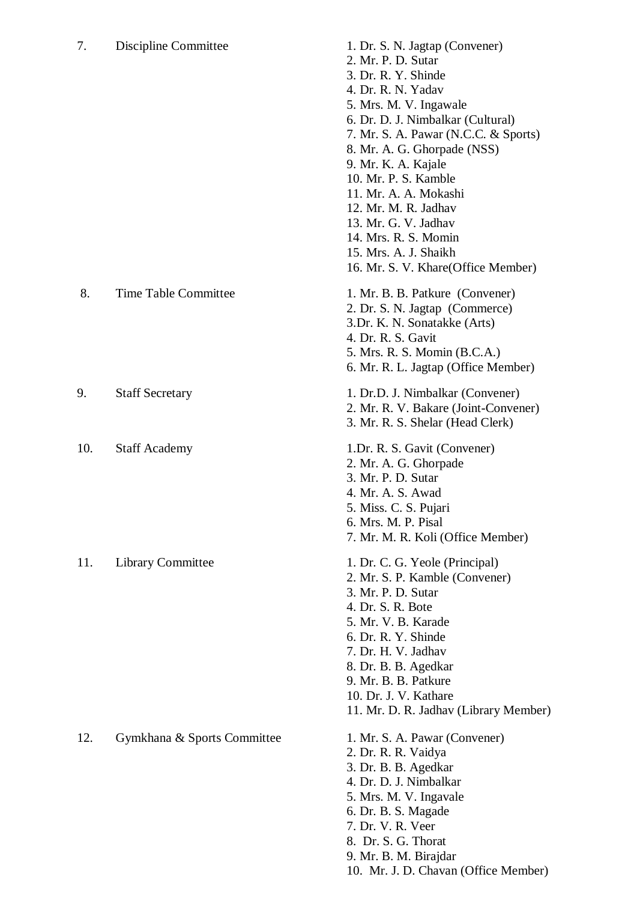## 7. Discipline Committee 1. Dr. S. N. Jagtap (Convener)

|     |                             | 7. Mr. S. A. Pawar (N.C.C. & Sports)<br>8. Mr. A. G. Ghorpade (NSS)<br>9. Mr. K. A. Kajale<br>10. Mr. P. S. Kamble<br>11. Mr. A. A. Mokashi<br>12. Mr. M. R. Jadhav<br>13. Mr. G. V. Jadhav<br>14. Mrs. R. S. Momin<br>15. Mrs. A. J. Shaikh<br>16. Mr. S. V. Khare(Office Member)                 |
|-----|-----------------------------|----------------------------------------------------------------------------------------------------------------------------------------------------------------------------------------------------------------------------------------------------------------------------------------------------|
| 8.  | Time Table Committee        | 1. Mr. B. B. Patkure (Convener)<br>2. Dr. S. N. Jagtap (Commerce)<br>3.Dr. K. N. Sonatakke (Arts)<br>4. Dr. R. S. Gavit<br>5. Mrs. R. S. Momin (B.C.A.)<br>6. Mr. R. L. Jagtap (Office Member)                                                                                                     |
| 9.  | <b>Staff Secretary</b>      | 1. Dr.D. J. Nimbalkar (Convener)<br>2. Mr. R. V. Bakare (Joint-Convener)<br>3. Mr. R. S. Shelar (Head Clerk)                                                                                                                                                                                       |
| 10. | <b>Staff Academy</b>        | 1.Dr. R. S. Gavit (Convener)<br>2. Mr. A. G. Ghorpade<br>3. Mr. P. D. Sutar<br>4. Mr. A. S. Awad<br>5. Miss. C. S. Pujari<br>6. Mrs. M. P. Pisal<br>7. Mr. M. R. Koli (Office Member)                                                                                                              |
| 11. | Library Committee           | 1. Dr. C. G. Yeole (Principal)<br>2. Mr. S. P. Kamble (Convener)<br>3. Mr. P. D. Sutar<br>4. Dr. S. R. Bote<br>5. Mr. V. B. Karade<br>6. Dr. R. Y. Shinde<br>7. Dr. H. V. Jadhav<br>8. Dr. B. B. Agedkar<br>9. Mr. B. B. Patkure<br>10. Dr. J. V. Kathare<br>11. Mr. D. R. Jadhav (Library Member) |
| 12. | Gymkhana & Sports Committee | 1. Mr. S. A. Pawar (Convener)<br>2. Dr. R. R. Vaidya<br>3. Dr. B. B. Agedkar<br>4. Dr. D. J. Nimbalkar<br>5. Mrs. M. V. Ingavale<br>6. Dr. B. S. Magade<br>7. Dr. V. R. Veer                                                                                                                       |

2. Mr. P. D. Sutar 3. Dr. R. Y. Shinde 4. Dr. R. N. Yadav 5. Mrs. M. V. Ingawale

6. Dr. D. J. Nimbalkar (Cultural)

- 8. Dr. S. G. Thorat
- 9. Mr. B. M. Birajdar
- 10. Mr. J. D. Chavan (Office Member)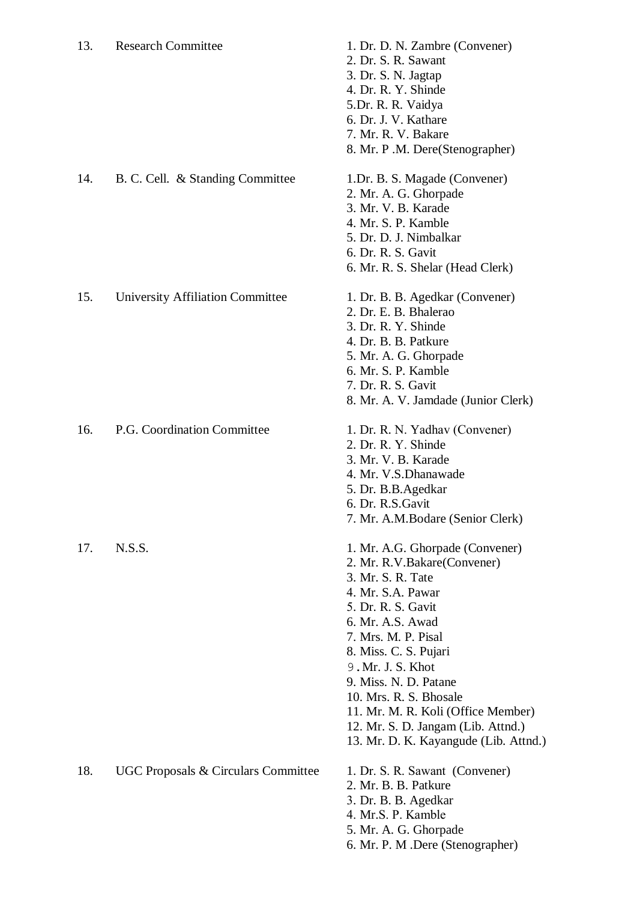| 13. | <b>Research Committee</b>                      | 1. Dr. D. N. Zambre (Convener)<br>2. Dr. S. R. Sawant<br>3. Dr. S. N. Jagtap<br>4. Dr. R. Y. Shinde<br>5.Dr. R. R. Vaidya<br>6. Dr. J. V. Kathare<br>7. Mr. R. V. Bakare<br>8. Mr. P.M. Dere(Stenographer)                                                                                                                                                                                       |
|-----|------------------------------------------------|--------------------------------------------------------------------------------------------------------------------------------------------------------------------------------------------------------------------------------------------------------------------------------------------------------------------------------------------------------------------------------------------------|
| 14. | B. C. Cell. & Standing Committee               | 1.Dr. B. S. Magade (Convener)<br>2. Mr. A. G. Ghorpade<br>3. Mr. V. B. Karade<br>4. Mr. S. P. Kamble<br>5. Dr. D. J. Nimbalkar<br>6. Dr. R. S. Gavit<br>6. Mr. R. S. Shelar (Head Clerk)                                                                                                                                                                                                         |
| 15. | <b>University Affiliation Committee</b>        | 1. Dr. B. B. Agedkar (Convener)<br>2. Dr. E. B. Bhalerao<br>3. Dr. R. Y. Shinde<br>4. Dr. B. B. Patkure<br>5. Mr. A. G. Ghorpade<br>6. Mr. S. P. Kamble<br>7. Dr. R. S. Gavit<br>8. Mr. A. V. Jamdade (Junior Clerk)                                                                                                                                                                             |
| 16. | P.G. Coordination Committee                    | 1. Dr. R. N. Yadhav (Convener)<br>2. Dr. R. Y. Shinde<br>3. Mr. V. B. Karade<br>4. Mr. V.S.Dhanawade<br>5. Dr. B.B.Agedkar<br>6. Dr. R.S. Gavit<br>7. Mr. A.M.Bodare (Senior Clerk)                                                                                                                                                                                                              |
| 17. | N.S.S.                                         | 1. Mr. A.G. Ghorpade (Convener)<br>2. Mr. R.V.Bakare (Convener)<br>3. Mr. S. R. Tate<br>4. Mr. S.A. Pawar<br>5. Dr. R. S. Gavit<br>6. Mr. A.S. Awad<br>7. Mrs. M. P. Pisal<br>8. Miss. C. S. Pujari<br>9. Mr. J. S. Khot<br>9. Miss. N. D. Patane<br>10. Mrs. R. S. Bhosale<br>11. Mr. M. R. Koli (Office Member)<br>12. Mr. S. D. Jangam (Lib. Attnd.)<br>13. Mr. D. K. Kayangude (Lib. Attnd.) |
| 18. | <b>UGC Proposals &amp; Circulars Committee</b> | 1. Dr. S. R. Sawant (Convener)<br>2. Mr. B. B. Patkure<br>3. Dr. B. B. Agedkar<br>4. Mr.S. P. Kamble<br>5. Mr. A. G. Ghorpade<br>6. Mr. P. M .Dere (Stenographer)                                                                                                                                                                                                                                |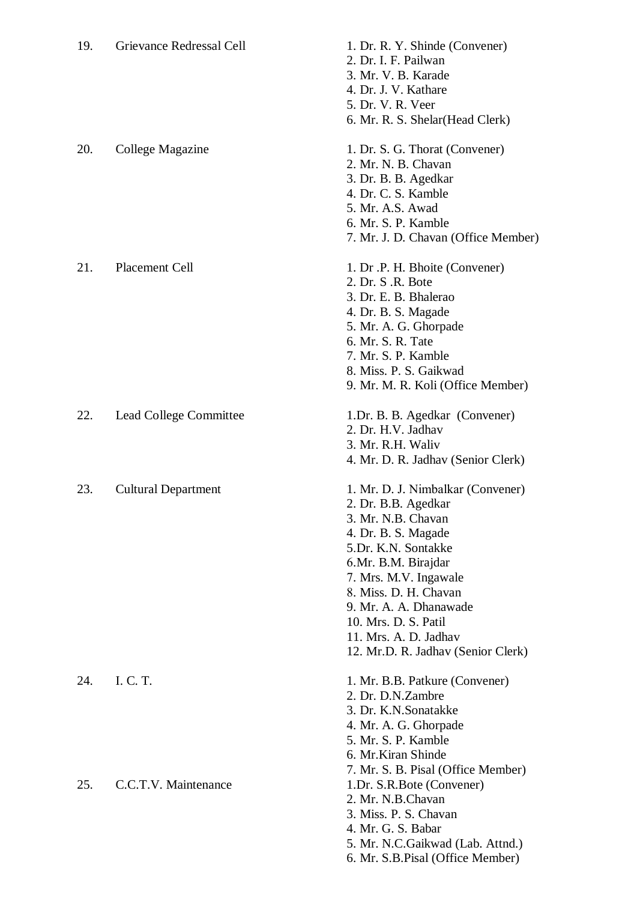| 19. | Grievance Redressal Cell   | 1. Dr. R. Y. Shinde (Convener)<br>2. Dr. I. F. Pailwan<br>3. Mr. V. B. Karade<br>4. Dr. J. V. Kathare<br>5. Dr. V. R. Veer<br>6. Mr. R. S. Shelar (Head Clerk)                                                                                                                                                         |
|-----|----------------------------|------------------------------------------------------------------------------------------------------------------------------------------------------------------------------------------------------------------------------------------------------------------------------------------------------------------------|
| 20. | College Magazine           | 1. Dr. S. G. Thorat (Convener)<br>2. Mr. N. B. Chavan<br>3. Dr. B. B. Agedkar<br>4. Dr. C. S. Kamble<br>5. Mr. A.S. Awad<br>6. Mr. S. P. Kamble<br>7. Mr. J. D. Chavan (Office Member)                                                                                                                                 |
| 21. | <b>Placement Cell</b>      | 1. Dr .P. H. Bhoite (Convener)<br>2. Dr. S.R. Bote<br>3. Dr. E. B. Bhalerao<br>4. Dr. B. S. Magade<br>5. Mr. A. G. Ghorpade<br>6. Mr. S. R. Tate<br>7. Mr. S. P. Kamble<br>8. Miss. P. S. Gaikwad<br>9. Mr. M. R. Koli (Office Member)                                                                                 |
| 22. | Lead College Committee     | 1.Dr. B. B. Agedkar (Convener)<br>2. Dr. H.V. Jadhav<br>3. Mr. R.H. Waliv<br>4. Mr. D. R. Jadhav (Senior Clerk)                                                                                                                                                                                                        |
| 23. | <b>Cultural Department</b> | 1. Mr. D. J. Nimbalkar (Convener)<br>2. Dr. B.B. Agedkar<br>3. Mr. N.B. Chavan<br>4. Dr. B. S. Magade<br>5.Dr. K.N. Sontakke<br>6.Mr. B.M. Birajdar<br>7. Mrs. M.V. Ingawale<br>8. Miss. D. H. Chavan<br>9. Mr. A. A. Dhanawade<br>10. Mrs. D. S. Patil<br>11. Mrs. A. D. Jadhav<br>12. Mr.D. R. Jadhav (Senior Clerk) |
| 24. | I. C. T.                   | 1. Mr. B.B. Patkure (Convener)<br>2. Dr. D.N.Zambre<br>3. Dr. K.N.Sonatakke<br>4. Mr. A. G. Ghorpade<br>5. Mr. S. P. Kamble<br>6. Mr.Kiran Shinde                                                                                                                                                                      |
| 25. | C.C.T.V. Maintenance       | 7. Mr. S. B. Pisal (Office Member)<br>1.Dr. S.R.Bote (Convener)<br>2. Mr. N.B.Chavan<br>3. Miss. P. S. Chavan<br>4. Mr. G. S. Babar<br>5. Mr. N.C.Gaikwad (Lab. Attnd.)<br>6. Mr. S.B. Pisal (Office Member)                                                                                                           |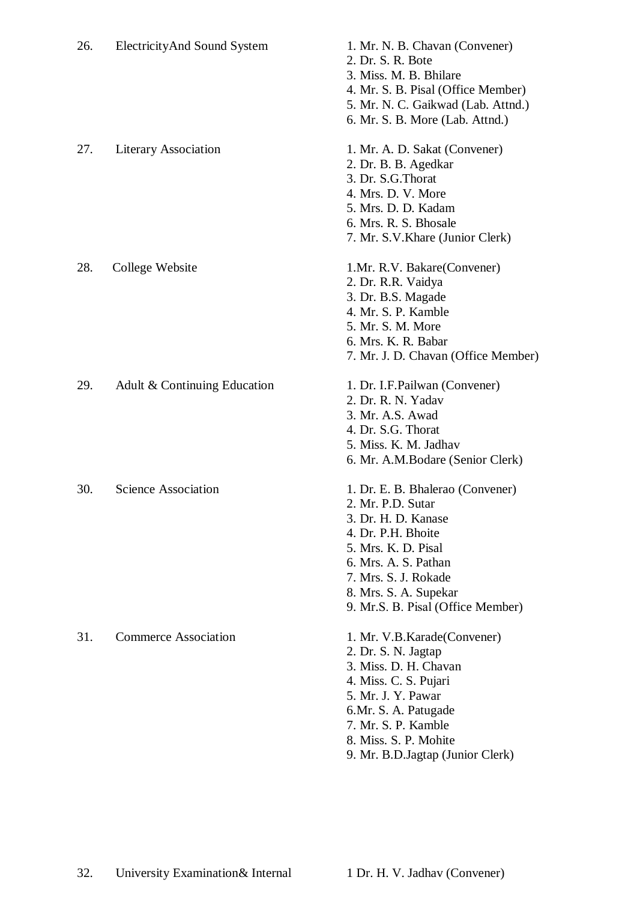| 26. | ElectricityAnd Sound System  | 1. Mr. N. B. Chavan (Convener)<br>2. Dr. S. R. Bote<br>3. Miss. M. B. Bhilare<br>4. Mr. S. B. Pisal (Office Member)<br>5. Mr. N. C. Gaikwad (Lab. Attnd.)<br>6. Mr. S. B. More (Lab. Attnd.)                                            |
|-----|------------------------------|-----------------------------------------------------------------------------------------------------------------------------------------------------------------------------------------------------------------------------------------|
| 27. | <b>Literary Association</b>  | 1. Mr. A. D. Sakat (Convener)<br>2. Dr. B. B. Agedkar<br>3. Dr. S.G. Thorat<br>4. Mrs. D. V. More<br>5. Mrs. D. D. Kadam<br>6. Mrs. R. S. Bhosale<br>7. Mr. S.V. Khare (Junior Clerk)                                                   |
| 28. | College Website              | 1.Mr. R.V. Bakare (Convener)<br>2. Dr. R.R. Vaidya<br>3. Dr. B.S. Magade<br>4. Mr. S. P. Kamble<br>5. Mr. S. M. More<br>6. Mrs. K. R. Babar<br>7. Mr. J. D. Chavan (Office Member)                                                      |
| 29. | Adult & Continuing Education | 1. Dr. I.F. Pailwan (Convener)<br>2. Dr. R. N. Yadav<br>3. Mr. A.S. Awad<br>4. Dr. S.G. Thorat<br>5. Miss. K. M. Jadhav<br>6. Mr. A.M.Bodare (Senior Clerk)                                                                             |
| 30. | <b>Science Association</b>   | 1. Dr. E. B. Bhalerao (Convener)<br>2. Mr. P.D. Sutar<br>3. Dr. H. D. Kanase<br>4. Dr. P.H. Bhoite<br>5. Mrs. K. D. Pisal<br>6. Mrs. A. S. Pathan<br>7. Mrs. S. J. Rokade<br>8. Mrs. S. A. Supekar<br>9. Mr.S. B. Pisal (Office Member) |
| 31. | <b>Commerce Association</b>  | 1. Mr. V.B. Karade (Convener)<br>2. Dr. S. N. Jagtap<br>3. Miss. D. H. Chavan<br>4. Miss. C. S. Pujari<br>5. Mr. J. Y. Pawar<br>6.Mr. S. A. Patugade<br>7. Mr. S. P. Kamble<br>8. Miss. S. P. Mohite                                    |

9. Mr. B.D.Jagtap (Junior Clerk)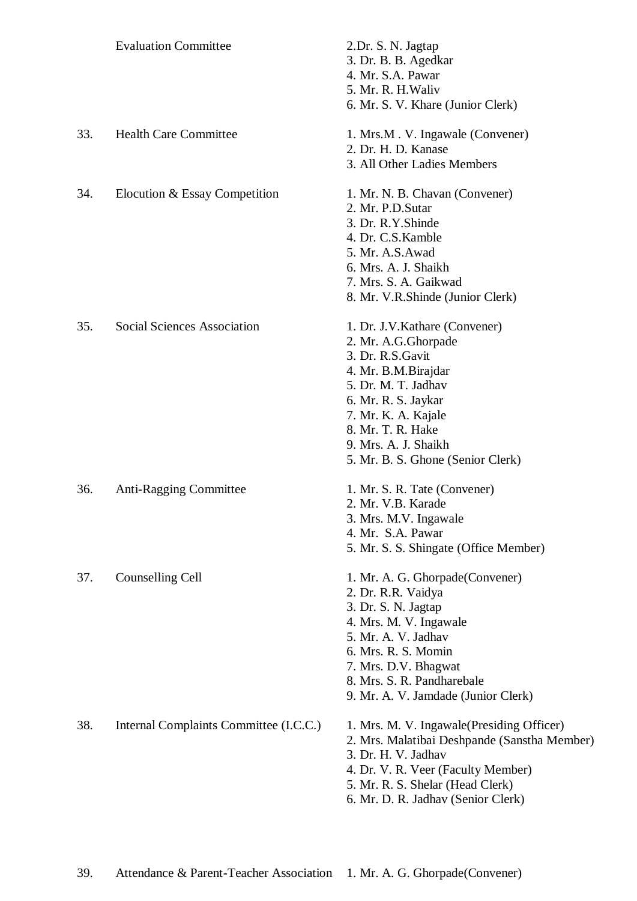|     | <b>Evaluation Committee</b>            | 2.Dr. S. N. Jagtap<br>3. Dr. B. B. Agedkar<br>4. Mr. S.A. Pawar<br>5. Mr. R. H. Waliv<br>6. Mr. S. V. Khare (Junior Clerk)                                                                                                                               |
|-----|----------------------------------------|----------------------------------------------------------------------------------------------------------------------------------------------------------------------------------------------------------------------------------------------------------|
| 33. | <b>Health Care Committee</b>           | 1. Mrs.M. V. Ingawale (Convener)<br>2. Dr. H. D. Kanase<br>3. All Other Ladies Members                                                                                                                                                                   |
| 34. | Elocution & Essay Competition          | 1. Mr. N. B. Chavan (Convener)<br>2. Mr. P.D. Sutar<br>3. Dr. R.Y.Shinde<br>4. Dr. C.S. Kamble<br>5. Mr. A.S. Awad<br>6. Mrs. A. J. Shaikh<br>7. Mrs. S. A. Gaikwad<br>8. Mr. V.R.Shinde (Junior Clerk)                                                  |
| 35. | <b>Social Sciences Association</b>     | 1. Dr. J.V. Kathare (Convener)<br>2. Mr. A.G.Ghorpade<br>3. Dr. R.S. Gavit<br>4. Mr. B.M.Birajdar<br>5. Dr. M. T. Jadhav<br>6. Mr. R. S. Jaykar<br>7. Mr. K. A. Kajale<br>8. Mr. T. R. Hake<br>9. Mrs. A. J. Shaikh<br>5. Mr. B. S. Ghone (Senior Clerk) |
| 36. | <b>Anti-Ragging Committee</b>          | 1. Mr. S. R. Tate (Convener)<br>2. Mr. V.B. Karade<br>3. Mrs. M.V. Ingawale<br>4. Mr. S.A. Pawar<br>5. Mr. S. S. Shingate (Office Member)                                                                                                                |
| 37. | Counselling Cell                       | 1. Mr. A. G. Ghorpade (Convener)<br>2. Dr. R.R. Vaidya<br>3. Dr. S. N. Jagtap<br>4. Mrs. M. V. Ingawale<br>5. Mr. A. V. Jadhav<br>6. Mrs. R. S. Momin<br>7. Mrs. D.V. Bhagwat<br>8. Mrs. S. R. Pandharebale<br>9. Mr. A. V. Jamdade (Junior Clerk)       |
| 38. | Internal Complaints Committee (I.C.C.) | 1. Mrs. M. V. Ingawale (Presiding Officer)<br>2. Mrs. Malatibai Deshpande (Sanstha Member)<br>3. Dr. H. V. Jadhav<br>4. Dr. V. R. Veer (Faculty Member)<br>5. Mr. R. S. Shelar (Head Clerk)<br>6. Mr. D. R. Jadhav (Senior Clerk)                        |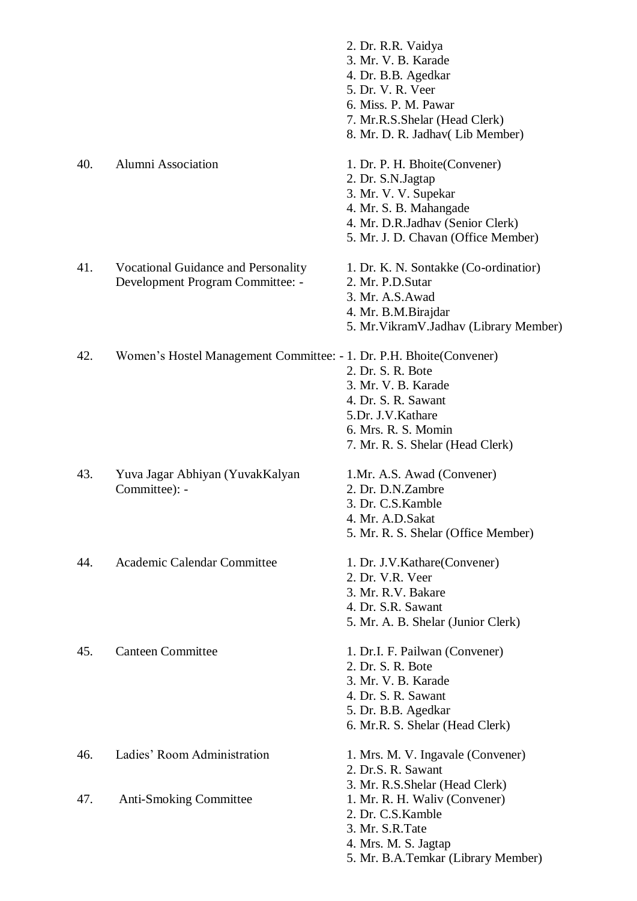|     |                                                                         | 2. Dr. R.R. Vaidya<br>3. Mr. V. B. Karade<br>4. Dr. B.B. Agedkar<br>5. Dr. V. R. Veer<br>6. Miss. P. M. Pawar<br>7. Mr.R.S.Shelar (Head Clerk)<br>8. Mr. D. R. Jadhav (Lib Member) |
|-----|-------------------------------------------------------------------------|------------------------------------------------------------------------------------------------------------------------------------------------------------------------------------|
| 40. | <b>Alumni Association</b>                                               | 1. Dr. P. H. Bhoite(Convener)<br>2. Dr. S.N. Jagtap<br>3. Mr. V. V. Supekar<br>4. Mr. S. B. Mahangade<br>4. Mr. D.R.Jadhav (Senior Clerk)<br>5. Mr. J. D. Chavan (Office Member)   |
| 41. | Vocational Guidance and Personality<br>Development Program Committee: - | 1. Dr. K. N. Sontakke (Co-ordinatior)<br>2. Mr. P.D. Sutar<br>3. Mr. A.S. Awad<br>4. Mr. B.M.Birajdar<br>5. Mr. Vikram V. Jadhav (Library Member)                                  |
| 42. | Women's Hostel Management Committee: - 1. Dr. P.H. Bhoite (Convener)    | 2. Dr. S. R. Bote<br>3. Mr. V. B. Karade<br>4. Dr. S. R. Sawant<br>5.Dr. J.V.Kathare<br>6. Mrs. R. S. Momin<br>7. Mr. R. S. Shelar (Head Clerk)                                    |
| 43. | Yuva Jagar Abhiyan (YuvakKalyan<br>Committee): -                        | 1.Mr. A.S. Awad (Convener)<br>2. Dr. D.N.Zambre<br>3. Dr. C.S. Kamble<br>4. Mr. A.D.Sakat<br>5. Mr. R. S. Shelar (Office Member)                                                   |
| 44. | Academic Calendar Committee                                             | 1. Dr. J.V. Kathare (Convener)<br>2. Dr. V.R. Veer<br>3. Mr. R.V. Bakare<br>4. Dr. S.R. Sawant<br>5. Mr. A. B. Shelar (Junior Clerk)                                               |
| 45. | <b>Canteen Committee</b>                                                | 1. Dr.I. F. Pailwan (Convener)<br>2. Dr. S. R. Bote<br>3. Mr. V. B. Karade<br>4. Dr. S. R. Sawant<br>5. Dr. B.B. Agedkar<br>6. Mr.R. S. Shelar (Head Clerk)                        |
| 46. | Ladies' Room Administration                                             | 1. Mrs. M. V. Ingavale (Convener)<br>2. Dr.S. R. Sawant<br>3. Mr. R.S. Shelar (Head Clerk)                                                                                         |
| 47. | <b>Anti-Smoking Committee</b>                                           | 1. Mr. R. H. Waliv (Convener)<br>2. Dr. C.S. Kamble<br>3. Mr. S.R. Tate<br>4. Mrs. M. S. Jagtap                                                                                    |

5. Mr. B.A.Temkar (Library Member)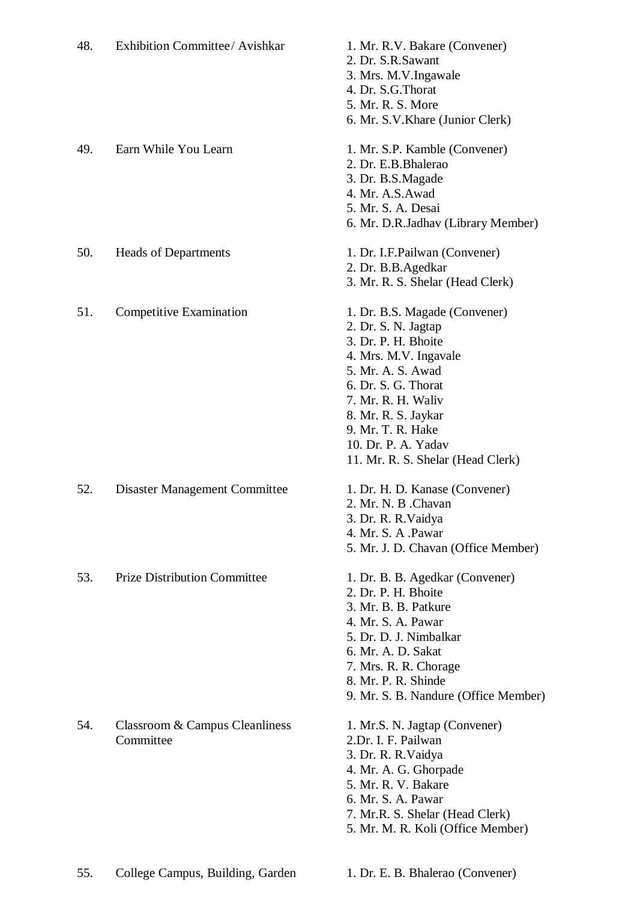| 48. | Exhibition Committee/ Avishkar              | 1. Mr. R.V. Bakare (Convener)<br>2. Dr. S.R.Sawant<br>3. Mrs. M.V.Ingawale<br>4. Dr. S.G. Thorat<br>5. Mr. R. S. More<br>6. Mr. S.V. Khare (Junior Clerk)                                                                                                                      |
|-----|---------------------------------------------|--------------------------------------------------------------------------------------------------------------------------------------------------------------------------------------------------------------------------------------------------------------------------------|
| 49. | Earn While You Learn                        | 1. Mr. S.P. Kamble (Convener)<br>2. Dr. E.B. Bhalerao<br>3. Dr. B.S.Magade<br>4. Mr. A.S. Awad<br>5. Mr. S. A. Desai<br>6. Mr. D.R.Jadhav (Library Member)                                                                                                                     |
| 50. | <b>Heads of Departments</b>                 | 1. Dr. I.F. Pailwan (Convener)<br>2. Dr. B.B.Agedkar<br>3. Mr. R. S. Shelar (Head Clerk)                                                                                                                                                                                       |
| 51. | Competitive Examination                     | 1. Dr. B.S. Magade (Convener)<br>2. Dr. S. N. Jagtap<br>3. Dr. P. H. Bhoite<br>4. Mrs. M.V. Ingavale<br>5. Mr. A. S. Awad<br>6. Dr. S. G. Thorat<br>7. Mr. R. H. Waliv<br>8. Mr. R. S. Jaykar<br>9. Mr. T. R. Hake<br>10. Dr. P. A. Yadav<br>11. Mr. R. S. Shelar (Head Clerk) |
| 52. | Disaster Management Committee               | 1. Dr. H. D. Kanase (Convener)<br>2. Mr. N. B . Chavan<br>3. Dr. R. R. Vaidya<br>4. Mr. S. A .Pawar<br>5. Mr. J. D. Chavan (Office Member)                                                                                                                                     |
| 53. | <b>Prize Distribution Committee</b>         | 1. Dr. B. B. Agedkar (Convener)<br>2. Dr. P. H. Bhoite<br>3. Mr. B. B. Patkure<br>4. Mr. S. A. Pawar<br>5. Dr. D. J. Nimbalkar<br>6. Mr. A. D. Sakat<br>7. Mrs. R. R. Chorage<br>8. Mr. P. R. Shinde<br>9. Mr. S. B. Nandure (Office Member)                                   |
| 54. | Classroom & Campus Cleanliness<br>Committee | 1. Mr.S. N. Jagtap (Convener)<br>2.Dr. I. F. Pailwan<br>3. Dr. R. R. Vaidya<br>4. Mr. A. G. Ghorpade<br>5. Mr. R. V. Bakare<br>6. Mr. S. A. Pawar<br>7. Mr.R. S. Shelar (Head Clerk)<br>5. Mr. M. R. Koli (Office Member)                                                      |
| 55. | College Campus, Building, Garden            | 1. Dr. E. B. Bhalerao (Convener)                                                                                                                                                                                                                                               |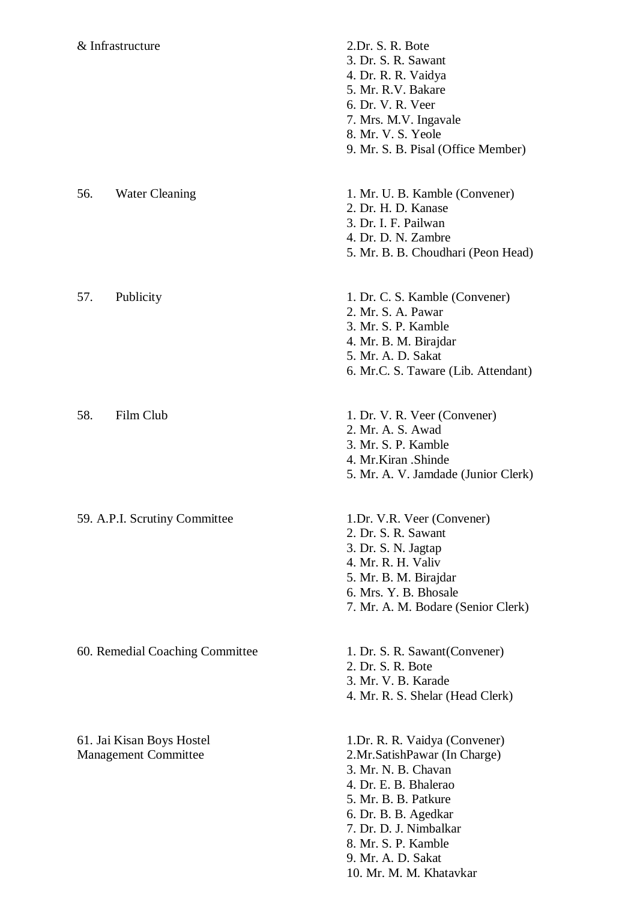- & Infrastructure 2.Dr. S. R. Bote 3. Dr. S. R. Sawant 4. Dr. R. R. Vaidya 5. Mr. R.V. Bakare 6. Dr. V. R. Veer 7. Mrs. M.V. Ingavale 8. Mr. V. S. Yeole 9. Mr. S. B. Pisal (Office Member) 56. Water Cleaning 1. Mr. U. B. Kamble (Convener) 2. Dr. H. D. Kanase 3. Dr. I. F. Pailwan 4. Dr. D. N. Zambre 5. Mr. B. B. Choudhari (Peon Head) 57. Publicity 1. Dr. C. S. Kamble (Convener) 2. Mr. S. A. Pawar 3. Mr. S. P. Kamble 4. Mr. B. M. Birajdar 5. Mr. A. D. Sakat 6. Mr.C. S. Taware (Lib. Attendant) 58. Film Club 1. Dr. V. R. Veer (Convener) 2. Mr. A. S. Awad 3. Mr. S. P. Kamble 4. Mr.Kiran .Shinde 5. Mr. A. V. Jamdade (Junior Clerk) 59. A.P.I. Scrutiny Committee 1.Dr. V.R. Veer (Convener) 2. Dr. S. R. Sawant 3. Dr. S. N. Jagtap 4. Mr. R. H. Valiv 5. Mr. B. M. Birajdar 6. Mrs. Y. B. Bhosale 7. Mr. A. M. Bodare (Senior Clerk) 60. Remedial Coaching Committee 1. Dr. S. R. Sawant(Convener) 2. Dr. S. R. Bote 3. Mr. V. B. Karade 4. Mr. R. S. Shelar (Head Clerk) 61. Jai Kisan Boys Hostel 1.Dr. R. R. Vaidya (Convener) Management Committee 2.Mr.SatishPawar (In Charge) 3. Mr. N. B. Chavan 4. Dr. E. B. Bhalerao 5. Mr. B. B. Patkure 6. Dr. B. B. Agedkar
	- 7. Dr. D. J. Nimbalkar
	- 8. Mr. S. P. Kamble
	- 9. Mr. A. D. Sakat
	- 10. Mr. M. M. Khatavkar